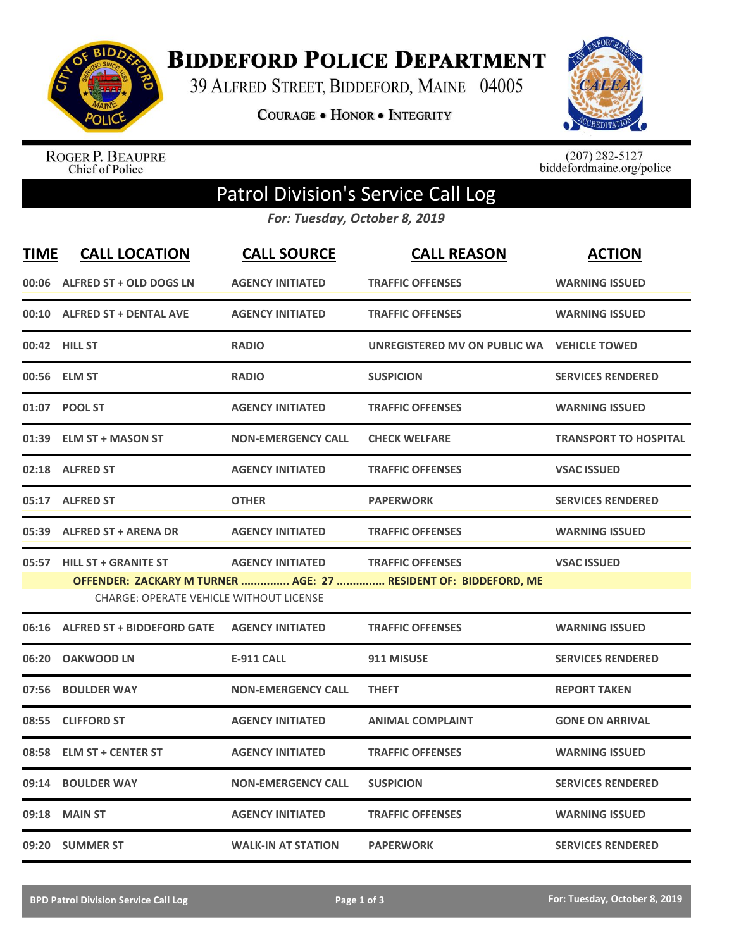

**BIDDEFORD POLICE DEPARTMENT** 

39 ALFRED STREET, BIDDEFORD, MAINE 04005

**COURAGE . HONOR . INTEGRITY** 



ROGER P. BEAUPRE<br>Chief of Police

 $(207)$  282-5127<br>biddefordmaine.org/police

## Patrol Division's Service Call Log

*For: Tuesday, October 8, 2019*

| <b>TIME</b> | <b>CALL LOCATION</b>                           | <b>CALL SOURCE</b>        | <b>CALL REASON</b>                                              | <b>ACTION</b>                |
|-------------|------------------------------------------------|---------------------------|-----------------------------------------------------------------|------------------------------|
|             | 00:06 ALFRED ST + OLD DOGS LN                  | <b>AGENCY INITIATED</b>   | <b>TRAFFIC OFFENSES</b>                                         | <b>WARNING ISSUED</b>        |
| 00:10       | <b>ALFRED ST + DENTAL AVE</b>                  | <b>AGENCY INITIATED</b>   | <b>TRAFFIC OFFENSES</b>                                         | <b>WARNING ISSUED</b>        |
|             | 00:42 HILL ST                                  | <b>RADIO</b>              | UNREGISTERED MV ON PUBLIC WA    VEHICLE TOWED                   |                              |
| 00:56       | <b>ELM ST</b>                                  | <b>RADIO</b>              | <b>SUSPICION</b>                                                | <b>SERVICES RENDERED</b>     |
|             | 01:07 POOL ST                                  | <b>AGENCY INITIATED</b>   | <b>TRAFFIC OFFENSES</b>                                         | <b>WARNING ISSUED</b>        |
| 01:39       | <b>ELM ST + MASON ST</b>                       | <b>NON-EMERGENCY CALL</b> | <b>CHECK WELFARE</b>                                            | <b>TRANSPORT TO HOSPITAL</b> |
| 02:18       | <b>ALFRED ST</b>                               | <b>AGENCY INITIATED</b>   | <b>TRAFFIC OFFENSES</b>                                         | <b>VSAC ISSUED</b>           |
| 05:17       | <b>ALFRED ST</b>                               | <b>OTHER</b>              | <b>PAPERWORK</b>                                                | <b>SERVICES RENDERED</b>     |
| 05:39       | <b>ALFRED ST + ARENA DR</b>                    | <b>AGENCY INITIATED</b>   | <b>TRAFFIC OFFENSES</b>                                         | <b>WARNING ISSUED</b>        |
|             | 05:57 HILL ST + GRANITE ST                     | <b>AGENCY INITIATED</b>   | <b>TRAFFIC OFFENSES</b>                                         | <b>VSAC ISSUED</b>           |
|             | <b>CHARGE: OPERATE VEHICLE WITHOUT LICENSE</b> |                           | OFFENDER: ZACKARY M TURNER  AGE: 27  RESIDENT OF: BIDDEFORD, ME |                              |
|             |                                                |                           |                                                                 |                              |
|             | 06:16 ALFRED ST + BIDDEFORD GATE               | <b>AGENCY INITIATED</b>   | <b>TRAFFIC OFFENSES</b>                                         | <b>WARNING ISSUED</b>        |
| 06:20       | <b>OAKWOOD LN</b>                              | <b>E-911 CALL</b>         | 911 MISUSE                                                      | <b>SERVICES RENDERED</b>     |
| 07:56       | <b>BOULDER WAY</b>                             | <b>NON-EMERGENCY CALL</b> | <b>THEFT</b>                                                    | <b>REPORT TAKEN</b>          |
| 08:55       | <b>CLIFFORD ST</b>                             | <b>AGENCY INITIATED</b>   | <b>ANIMAL COMPLAINT</b>                                         | <b>GONE ON ARRIVAL</b>       |
| 08:58       | <b>ELM ST + CENTER ST</b>                      | <b>AGENCY INITIATED</b>   | <b>TRAFFIC OFFENSES</b>                                         | <b>WARNING ISSUED</b>        |
| 09:14       | <b>BOULDER WAY</b>                             | <b>NON-EMERGENCY CALL</b> | <b>SUSPICION</b>                                                | <b>SERVICES RENDERED</b>     |
| 09:18       | <b>MAIN ST</b>                                 | <b>AGENCY INITIATED</b>   | <b>TRAFFIC OFFENSES</b>                                         | <b>WARNING ISSUED</b>        |
|             | 09:20 SUMMER ST                                | <b>WALK-IN AT STATION</b> | <b>PAPERWORK</b>                                                | <b>SERVICES RENDERED</b>     |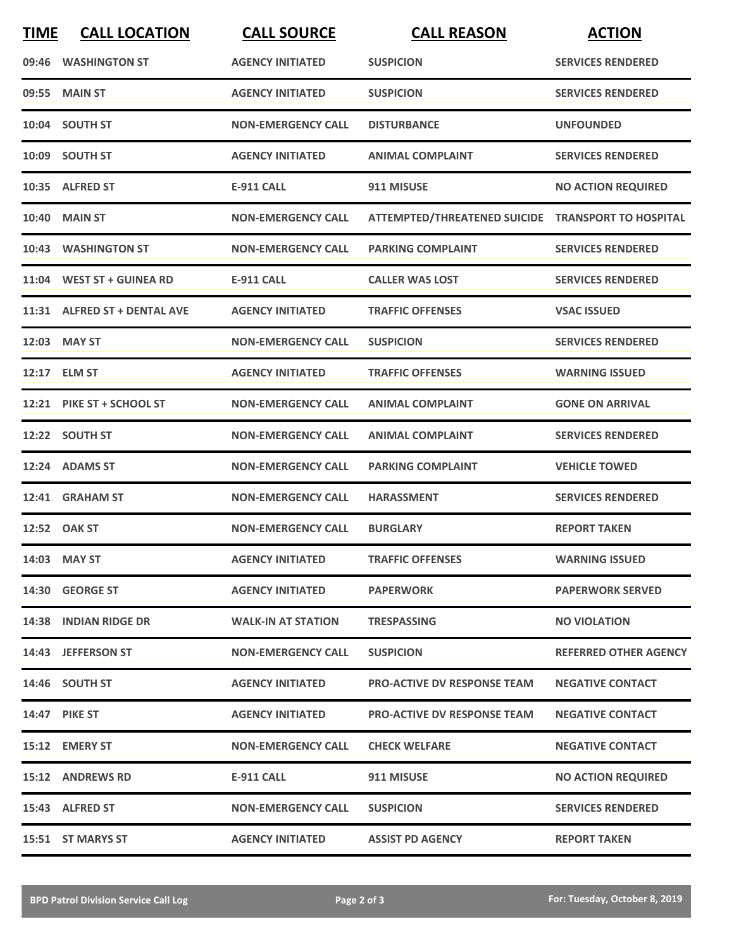| <b>TIME</b> | <b>CALL LOCATION</b>         | <b>CALL SOURCE</b>        | <b>CALL REASON</b>                                 | <b>ACTION</b>                |
|-------------|------------------------------|---------------------------|----------------------------------------------------|------------------------------|
|             | 09:46 WASHINGTON ST          | <b>AGENCY INITIATED</b>   | <b>SUSPICION</b>                                   | <b>SERVICES RENDERED</b>     |
|             | 09:55 MAIN ST                | <b>AGENCY INITIATED</b>   | <b>SUSPICION</b>                                   | <b>SERVICES RENDERED</b>     |
|             | 10:04 SOUTH ST               | <b>NON-EMERGENCY CALL</b> | <b>DISTURBANCE</b>                                 | <b>UNFOUNDED</b>             |
|             | 10:09 SOUTH ST               | <b>AGENCY INITIATED</b>   | <b>ANIMAL COMPLAINT</b>                            | <b>SERVICES RENDERED</b>     |
|             | 10:35 ALFRED ST              | <b>E-911 CALL</b>         | 911 MISUSE                                         | <b>NO ACTION REQUIRED</b>    |
|             | <b>10:40 MAIN ST</b>         | <b>NON-EMERGENCY CALL</b> | ATTEMPTED/THREATENED SUICIDE TRANSPORT TO HOSPITAL |                              |
|             | 10:43 WASHINGTON ST          | <b>NON-EMERGENCY CALL</b> | <b>PARKING COMPLAINT</b>                           | <b>SERVICES RENDERED</b>     |
|             | 11:04 WEST ST + GUINEA RD    | <b>E-911 CALL</b>         | <b>CALLER WAS LOST</b>                             | <b>SERVICES RENDERED</b>     |
|             | 11:31 ALFRED ST + DENTAL AVE | <b>AGENCY INITIATED</b>   | <b>TRAFFIC OFFENSES</b>                            | <b>VSAC ISSUED</b>           |
|             | 12:03 MAY ST                 | <b>NON-EMERGENCY CALL</b> | <b>SUSPICION</b>                                   | <b>SERVICES RENDERED</b>     |
|             | 12:17 ELM ST                 | <b>AGENCY INITIATED</b>   | <b>TRAFFIC OFFENSES</b>                            | <b>WARNING ISSUED</b>        |
|             | 12:21 PIKE ST + SCHOOL ST    | <b>NON-EMERGENCY CALL</b> | <b>ANIMAL COMPLAINT</b>                            | <b>GONE ON ARRIVAL</b>       |
|             | 12:22 SOUTH ST               | <b>NON-EMERGENCY CALL</b> | <b>ANIMAL COMPLAINT</b>                            | <b>SERVICES RENDERED</b>     |
|             | 12:24 ADAMS ST               | <b>NON-EMERGENCY CALL</b> | <b>PARKING COMPLAINT</b>                           | <b>VEHICLE TOWED</b>         |
|             | 12:41 GRAHAM ST              | <b>NON-EMERGENCY CALL</b> | <b>HARASSMENT</b>                                  | <b>SERVICES RENDERED</b>     |
|             | 12:52 OAK ST                 | <b>NON-EMERGENCY CALL</b> | <b>BURGLARY</b>                                    | <b>REPORT TAKEN</b>          |
|             | 14:03 MAY ST                 | <b>AGENCY INITIATED</b>   | <b>TRAFFIC OFFENSES</b>                            | <b>WARNING ISSUED</b>        |
|             | 14:30 GEORGE ST              | <b>AGENCY INITIATED</b>   | <b>PAPERWORK</b>                                   | <b>PAPERWORK SERVED</b>      |
|             | 14:38 INDIAN RIDGE DR        | <b>WALK-IN AT STATION</b> | <b>TRESPASSING</b>                                 | <b>NO VIOLATION</b>          |
|             | 14:43 JEFFERSON ST           | <b>NON-EMERGENCY CALL</b> | <b>SUSPICION</b>                                   | <b>REFERRED OTHER AGENCY</b> |
|             | 14:46 SOUTH ST               | <b>AGENCY INITIATED</b>   | <b>PRO-ACTIVE DV RESPONSE TEAM</b>                 | <b>NEGATIVE CONTACT</b>      |
|             | <b>14:47 PIKE ST</b>         | <b>AGENCY INITIATED</b>   | <b>PRO-ACTIVE DV RESPONSE TEAM</b>                 | <b>NEGATIVE CONTACT</b>      |
|             | 15:12 EMERY ST               | <b>NON-EMERGENCY CALL</b> | <b>CHECK WELFARE</b>                               | <b>NEGATIVE CONTACT</b>      |
|             | 15:12 ANDREWS RD             | <b>E-911 CALL</b>         | 911 MISUSE                                         | <b>NO ACTION REQUIRED</b>    |
|             | 15:43 ALFRED ST              | <b>NON-EMERGENCY CALL</b> | <b>SUSPICION</b>                                   | <b>SERVICES RENDERED</b>     |
|             | 15:51 ST MARYS ST            | <b>AGENCY INITIATED</b>   | <b>ASSIST PD AGENCY</b>                            | <b>REPORT TAKEN</b>          |